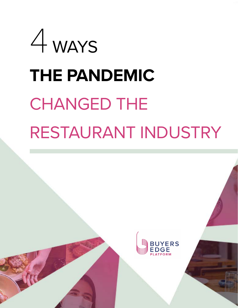

# RESTAURANT INDUSTRY

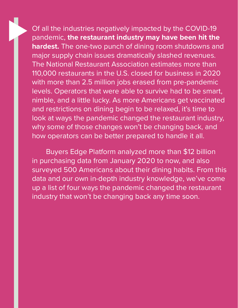Of all the industries negatively impacted by the COVID-19 pandemic, **the restaurant industry may have been hit the hardest.** The one-two punch of dining room shutdowns and major supply chain issues dramatically slashed revenues. The National Restaurant Association estimates more than 110,000 restaurants in the U.S. closed for business in 2020 with more than 2.5 million jobs erased from pre-pandemic levels. Operators that were able to survive had to be smart, nimble, and a little lucky. As more Americans get vaccinated and restrictions on dining begin to be relaxed, it's time to look at ways the pandemic changed the restaurant industry, why some of those changes won't be changing back, and how operators can be better prepared to handle it all.

Buyers Edge Platform analyzed more than \$12 billion in purchasing data from January 2020 to now, and also surveyed 500 Americans about their dining habits. From this data and our own in-depth industry knowledge, we've come up a list of four ways the pandemic changed the restaurant industry that won't be changing back any time soon.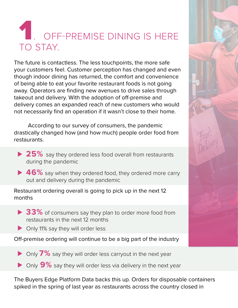## OFF-PREMISE DINING IS HERE TO STAY.

The future is contactless. The less touchpoints, the more safe your customers feel. Customer perception has changed and even though indoor dining has returned, the comfort and convenience of being able to eat your favorite restaurant foods is not going away. Operators are finding new avenues to drive sales through takeout and delivery. With the adoption of off-premise and delivery comes an expanded reach of new customers who would not necessarily find an operation if it wasn't close to their home.

According to our survey of consumers, the pandemic drastically changed how (and how much) people order food from restaurants.

- ▶ 25% say they ordered less food overall from restaurants during the pandemic
- ► 46% say when they ordered food, they ordered more carry out and delivery during the pandemic

Restaurant ordering overall is going to pick up in the next 12 months

- ▶ 33% of consumers say they plan to order more food from restaurants in the next 12 months
- ► Only 11% say they will order less

Off-premise ordering will continue to be a big part of the industry

- ▶ Only 7% say they will order less carryout in the next year
- ► Only 9<sup>%</sup> say they will order less via delivery in the next year

The Buyers Edge Platform Data backs this up. Orders for disposable containers spiked in the spring of last year as restaurants across the country closed in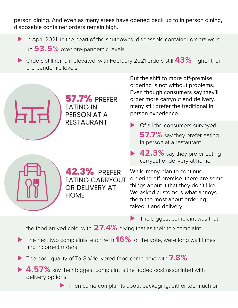person dining. And even as many areas have opened back up to in person dining, disposable container orders remain high.

- ▶ In April 2021, in the heart of the shutdowns, disposable container orders were up **53.5%** over pre-pandemic levels.
- ► Orders still remain elevated, with February 2021 orders still 43% higher than pre-pandemic levels.



**57.7% PREFER EATING IN** PERSON AT A **RESTAURANT** 

But the shift to more off-premise ordering is not without problems. Even though consumers say they'll order more carryout and delivery, many still prefer the traditional in person experience.

- ◆ Of all the consumers surveyed **57.7%** say they prefer eating in person at a restaurant
	- **42.3%** say they prefer eating carryout or delivery at home



42.3% PREFER **EATING CARRYOUT** OR DELIVERY AT **HOME** 

While many plan to continue ordering off premise, there are some things about it that they don't like. We asked customers what annoys them the most about ordering takeout and delivery.

The biggest complaint was that

the food arrived cold, with **27.4%** giving that as their top complaint.

► The next two complaints, each with **16%** of the vote, were long wait times and incorrect orders

⊲ The poor quality of To Go/delivered food came next with **7.8%**

► 4.57% say their biggest complaint is the added cost associated with delivery options

▶ Then came complaints about packaging, either too much or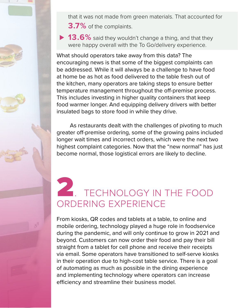that it was not made from green materials. That accounted for **3.7%** of the complaints.

▶ 13.6% said they wouldn't change a thing, and that they were happy overall with the To Go/delivery experience.

What should operators take away from this data? The encouraging news is that some of the biggest complaints can be addressed. While it will always be a challenge to have food at home be as hot as food delivered to the table fresh out of the kitchen, many operators are taking steps to ensure better temperature management throughout the off-premise process. This includes investing in higher quality containers that keep food warmer longer. And equipping delivery drivers with better insulated bags to store food in while they drive.

As restaurants dealt with the challenges of pivoting to much greater off-premise ordering, some of the growing pains included longer wait times and incorrect orders, which were the next two highest complaint categories. Now that the "new normal" has just become normal, those logistical errors are likely to decline.

#### 2. TECHNOLOGY IN THE FOOD ORDERING EXPERIENCE

From kiosks, QR codes and tablets at a table, to online and mobile ordering, technology played a huge role in foodservice during the pandemic, and will only continue to grow in 2021 and beyond. Customers can now order their food and pay their bill straight from a tablet for cell phone and receive their receipts via email. Some operators have transitioned to self-serve kiosks in their operation due to high-cost table service. There is a goal of automating as much as possible in the dining experience and implementing technology where operators can increase efficiency and streamline their business model.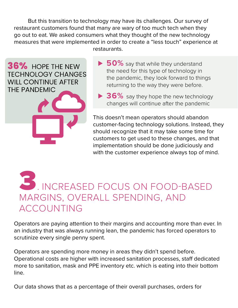But this transition to technology may have its challenges. Our survey of restaurant customers found that many are wary of too much tech when they go out to eat. We asked consumers what they thought of the new technology measures that were implemented in order to create a "less touch" experience at restaurants.

36% HOPE THE NEW **TECHNOLOGY CHANGES WILL CONTINUE AFTER** THE PANDEMIC



**► 36%** say they hope the new technology changes will continue after the pandemic

This doesn't mean operators should abandon customer-facing technology solutions. Instead, they should recognize that it may take some time for customers to get used to these changes, and that implementation should be done judiciously and with the customer experience always top of mind.

#### 3. INCREASED FOCUS ON FOOD-BASED MARGINS, OVERALL SPENDING, AND ACCOUNTING

Operators are paying attention to their margins and accounting more than ever. In an industry that was always running lean, the pandemic has forced operators to scrutinize every single penny spent.

Operators are spending more money in areas they didn't spend before. Operational costs are higher with increased sanitation processes, staff dedicated more to sanitation, mask and PPE inventory etc. which is eating into their bottom line.

Our data shows that as a percentage of their overall purchases, orders for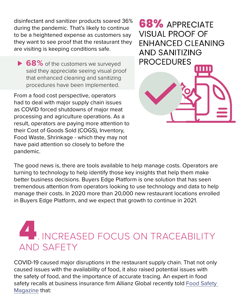disinfectant and sanitizer products soared 36% during the pandemic. That's likely to continue to be a heightened expense as customers say they want to see proof that the restaurant they are visiting is keeping conditions safe.

► 68% of the customers we surveyed said they appreciate seeing visual proof that enhanced cleaning and sanitizing procedures have been implemented.

From a food cost perspective, operators had to deal with major supply chain issues as COVID forced shutdowns of major meat processing and agriculture operations. As a result, operators are paying more attention to their Cost of Goods Sold (COGS), Inventory, Food Waste, Shrinkage - which they may not have paid attention so closely to before the pandemic.



The good news is, there are tools available to help manage costs. Operators are turning to technology to help identify those key insights that help them make better business decisions. Buyers Edge Platform is one solution that has seen tremendous attention from operators looking to use technology and data to help manage their costs. In 2020 more than 20,000 new restaurant locations enrolled in Buyers Edge Platform, and we expect that growth to continue in 2021.

### **4. INCREASED FOCUS ON TRACEABILITY** AND SAFETY

COVID-19 caused major disruptions in the restaurant supply chain. That not only caused issues with the availability of food, it also raised potential issues with the safety of food, and the importance of accurate tracing. An expert in food safety recalls at business insurance firm Allianz Global recently told [Food Safety](https://www.food-safety.com/articles/6944-the-impact-of-covid-19-on-food-safety-risks-and-recalls)  [Magazine](https://www.food-safety.com/articles/6944-the-impact-of-covid-19-on-food-safety-risks-and-recalls) that: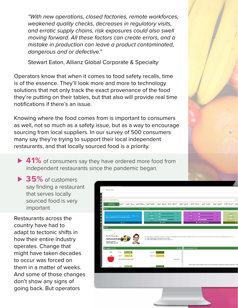*"With new operations, closed factories, remote workforces, weakened quality checks, decreases in regulatory visits, and erratic supply chains, risk exposures could also swell moving forward. All these factors can create errors, and a mistake in production can leave a product contaminated, dangerous and or defective."*

Stewart Eaton, Allianz Global Corporate & Specialty

Operators know that when it comes to food safety recalls, time is of the essence. They'll look more and more to technology solutions that not only track the exact provenance of the food they're putting on their tables, but that also will provide real time notifications if there's an issue.

Knowing where the food comes from is important to consumers as well, not so much as a safety issue, but as a way to encourage sourcing from local suppliers. In our survey of 500 consumers many say they're trying to support their local independent restaurants, and that locally sourced food is a priority.

▶ 41% of consumers say they have ordered more food from independent restaurants since the pandemic began.

**► 35%** of customers say finding a restaurant that serves locally sourced food is very important

Restaurants across the country have had to adapt to tectonic shifts in how their entire industry operates. Change that might have taken decades to occur was forced on them in a matter of weeks. And some of those changes don't show any signs of going back. But operators